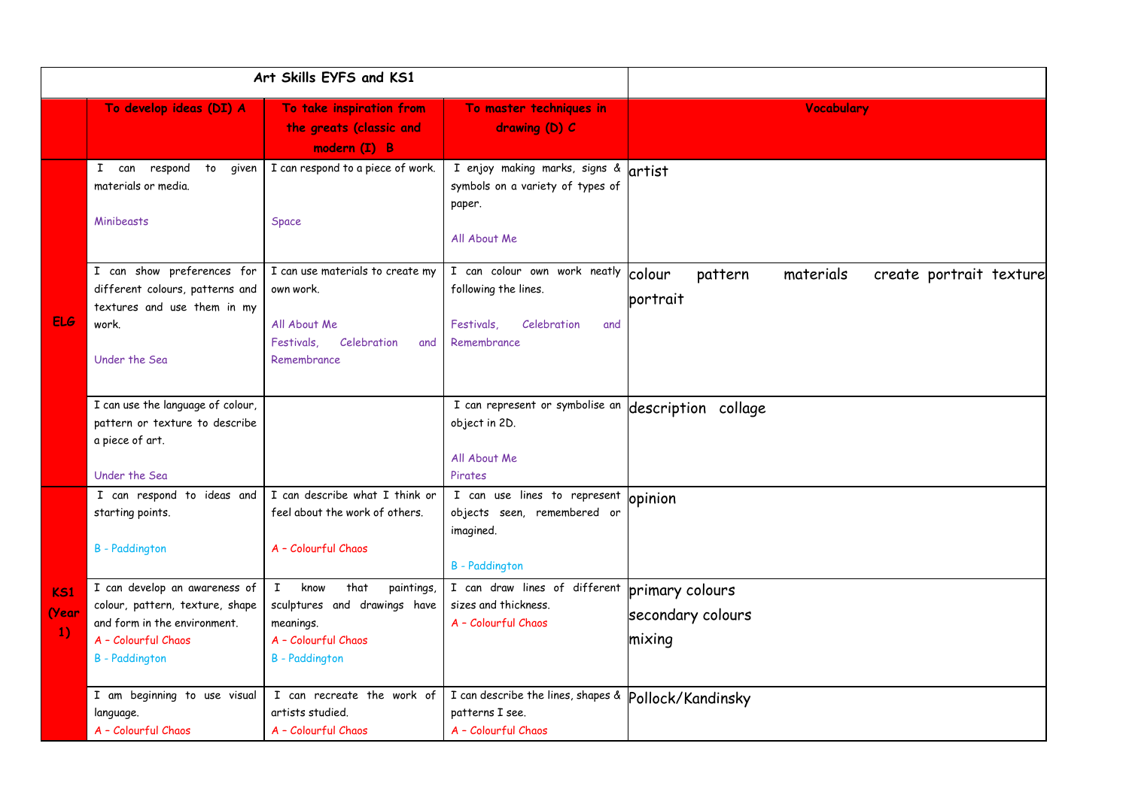| Art Skills EYFS and KS1        |                                                                                                                                                  |                                                                                                                                         |                                                                                                         |                                                                       |
|--------------------------------|--------------------------------------------------------------------------------------------------------------------------------------------------|-----------------------------------------------------------------------------------------------------------------------------------------|---------------------------------------------------------------------------------------------------------|-----------------------------------------------------------------------|
|                                | To develop ideas (DI) A                                                                                                                          | To take inspiration from<br>the greats (classic and<br>modern (I) B                                                                     | To master techniques in<br>drawing (D) C                                                                | Vocabulary                                                            |
| <b>ELG</b>                     | respond to<br>I can<br>given<br>materials or media.<br>Minibeasts                                                                                | I can respond to a piece of work.<br><b>Space</b>                                                                                       | I enjoy making marks, signs &<br>symbols on a variety of types of<br>paper.<br>All About Me             | artist                                                                |
|                                | I can show preferences for<br>different colours, patterns and<br>textures and use them in my<br>work.<br>Under the Sea                           | I can use materials to create my<br>own work.<br>All About Me<br>Festivals.<br>Celebration<br>and<br>Remembrance                        | I can colour own work neatly<br>following the lines.<br>Festivals.<br>Celebration<br>and<br>Remembrance | colour<br>pattern<br>materials<br>create portrait texture<br>portrait |
|                                | I can use the language of colour,<br>pattern or texture to describe<br>a piece of art.<br>Under the Sea                                          |                                                                                                                                         | I can represent or symbolise an<br>object in 2D.<br>All About Me<br>Pirates                             | description collage                                                   |
| K <sub>S1</sub><br>(Year<br>1) | I can respond to ideas and<br>starting points.<br><b>B</b> - Paddington                                                                          | I can describe what I think or<br>feel about the work of others.<br>A - Colourful Chaos                                                 | I can use lines to represent<br>objects seen, remembered or<br>imagined.<br><b>B</b> - Paddington       | opinion                                                               |
|                                | I can develop an awareness of<br>colour, pattern, texture, shape<br>and form in the environment.<br>A - Colourful Chaos<br><b>B</b> - Paddington | that<br>$\mathbf{I}$<br>know<br>paintings,<br>sculptures and drawings have<br>meanings.<br>A - Colourful Chaos<br><b>B</b> - Paddington | I can draw lines of different<br>sizes and thickness.<br>A - Colourful Chaos                            | primary colours<br>secondary colours<br>mixing                        |
|                                | I am beginning to use visual<br>language.<br>A - Colourful Chaos                                                                                 | I can recreate the work of<br>artists studied.<br>A - Colourful Chaos                                                                   | I can describe the lines, shapes &<br>patterns I see.<br>A - Colourful Chaos                            | Pollock/Kandinsky                                                     |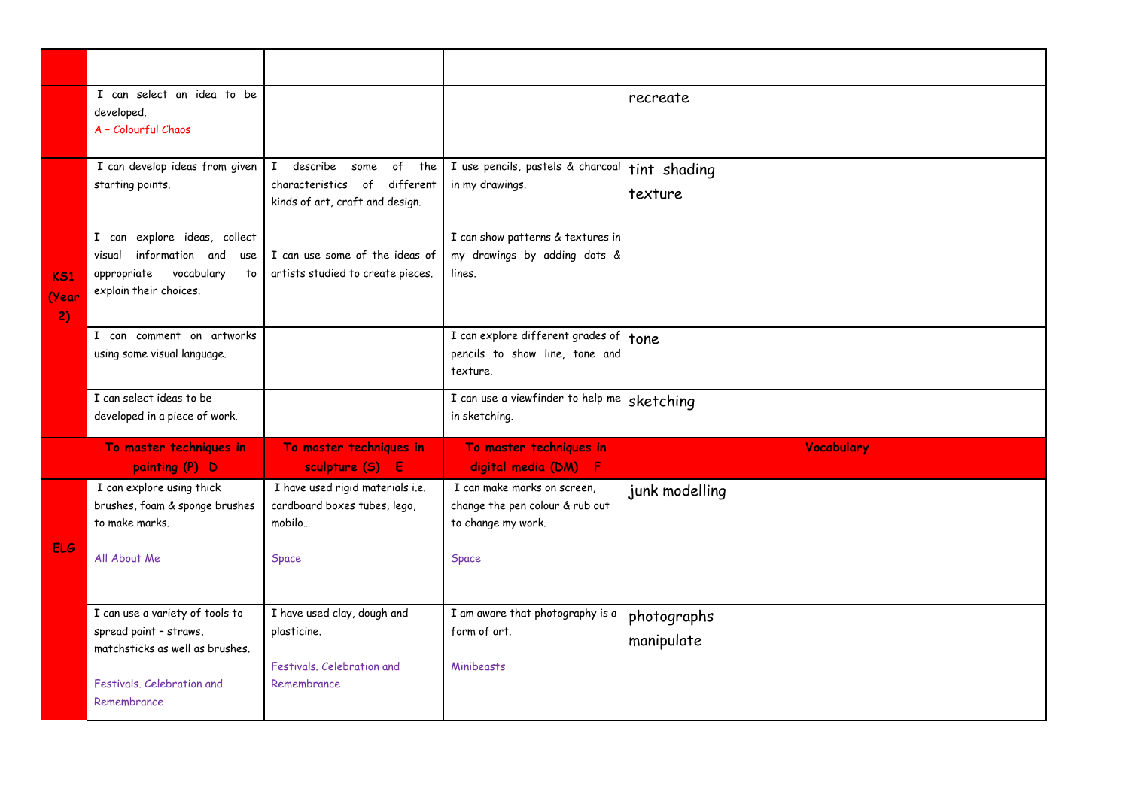|                                | I can select an idea to be<br>developed.<br>A - Colourful Chaos                                                                                                                     |                                                                                                                                                                           |                                                                                                                                     | recreate                  |
|--------------------------------|-------------------------------------------------------------------------------------------------------------------------------------------------------------------------------------|---------------------------------------------------------------------------------------------------------------------------------------------------------------------------|-------------------------------------------------------------------------------------------------------------------------------------|---------------------------|
| K <sub>S1</sub><br>(Year<br>2) | I can develop ideas from given<br>starting points.<br>I can explore ideas, collect<br>information and<br>visual<br>use<br>vocabulary<br>appropriate<br>to<br>explain their choices. | I describe<br>of the<br>some<br>different<br>characteristics of<br>kinds of art, craft and design.<br>I can use some of the ideas of<br>artists studied to create pieces. | I use pencils, pastels & charcoal<br>in my drawings.<br>I can show patterns & textures in<br>my drawings by adding dots &<br>lines. | tint shading<br>texture   |
|                                | I can comment on artworks<br>using some visual language.                                                                                                                            |                                                                                                                                                                           | I can explore different grades of<br>pencils to show line, tone and<br>texture.                                                     | tone                      |
|                                | I can select ideas to be<br>developed in a piece of work.                                                                                                                           |                                                                                                                                                                           | I can use a viewfinder to help me sketching<br>in sketching.                                                                        |                           |
|                                | To master techniques in<br>painting (P) D                                                                                                                                           | To master techniques in<br>sculpture (S) E                                                                                                                                | To master techniques in<br>digital media (DM) F                                                                                     | Vocabulary                |
| <b>ELG</b>                     | I can explore using thick<br>brushes, foam & sponge brushes<br>to make marks.<br>All About Me                                                                                       | I have used rigid materials i.e.<br>cardboard boxes tubes, lego,<br>mobilo<br><b>Space</b>                                                                                | I can make marks on screen,<br>change the pen colour & rub out<br>to change my work.<br>Space                                       | junk modelling            |
|                                | I can use a variety of tools to<br>spread paint - straws,<br>matchsticks as well as brushes.<br>Festivals, Celebration and<br>Remembrance                                           | I have used clay, dough and<br>plasticine.<br>Festivals, Celebration and<br>Remembrance                                                                                   | I am aware that photography is a<br>form of art.<br><b>Minibeasts</b>                                                               | photographs<br>manipulate |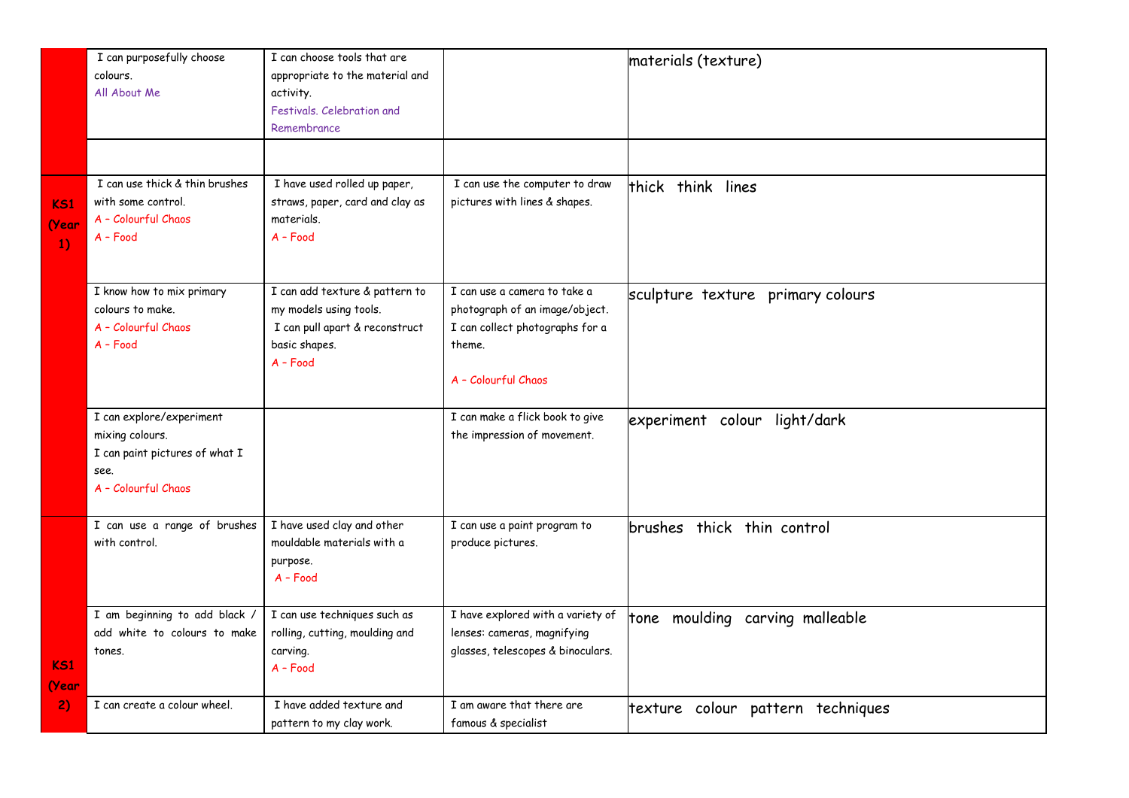|                          | I can purposefully choose<br>colours.<br>All About Me                                                        | I can choose tools that are<br>appropriate to the material and<br>activity.<br>Festivals, Celebration and<br>Remembrance  |                                                                                                                                    | materials (texture)                |
|--------------------------|--------------------------------------------------------------------------------------------------------------|---------------------------------------------------------------------------------------------------------------------------|------------------------------------------------------------------------------------------------------------------------------------|------------------------------------|
| KS1<br>(Year<br>1)       | I can use thick & thin brushes<br>with some control.<br>A - Colourful Chaos<br>$A - Food$                    | I have used rolled up paper,<br>straws, paper, card and clay as<br>materials.<br>$A - Food$                               | I can use the computer to draw<br>pictures with lines & shapes.                                                                    | thick think lines                  |
|                          | I know how to mix primary<br>colours to make.<br>A - Colourful Chaos<br>$A - Food$                           | I can add texture & pattern to<br>my models using tools.<br>I can pull apart & reconstruct<br>basic shapes.<br>$A - Food$ | I can use a camera to take a<br>photograph of an image/object.<br>I can collect photographs for a<br>theme.<br>A - Colourful Chaos | sculpture texture primary colours  |
|                          | I can explore/experiment<br>mixing colours.<br>I can paint pictures of what I<br>see.<br>A - Colourful Chaos |                                                                                                                           | I can make a flick book to give<br>the impression of movement.                                                                     | experiment colour light/dark       |
|                          | I can use a range of brushes<br>with control.                                                                | I have used clay and other<br>mouldable materials with a<br>purpose.<br>$A - Food$                                        | I can use a paint program to<br>produce pictures.                                                                                  | brushes thick thin control         |
| K <sub>S1</sub><br>(Year | I am beginning to add black /<br>add white to colours to make<br>tones.                                      | I can use techniques such as<br>rolling, cutting, moulding and<br>carving.<br>$A - Food$                                  | I have explored with a variety of<br>lenses: cameras, magnifying<br>glasses, telescopes & binoculars.                              | moulding carving malleable<br>tone |
| 2)                       | I can create a colour wheel.                                                                                 | I have added texture and<br>pattern to my clay work.                                                                      | I am aware that there are<br>famous & specialist                                                                                   | texture colour pattern techniques  |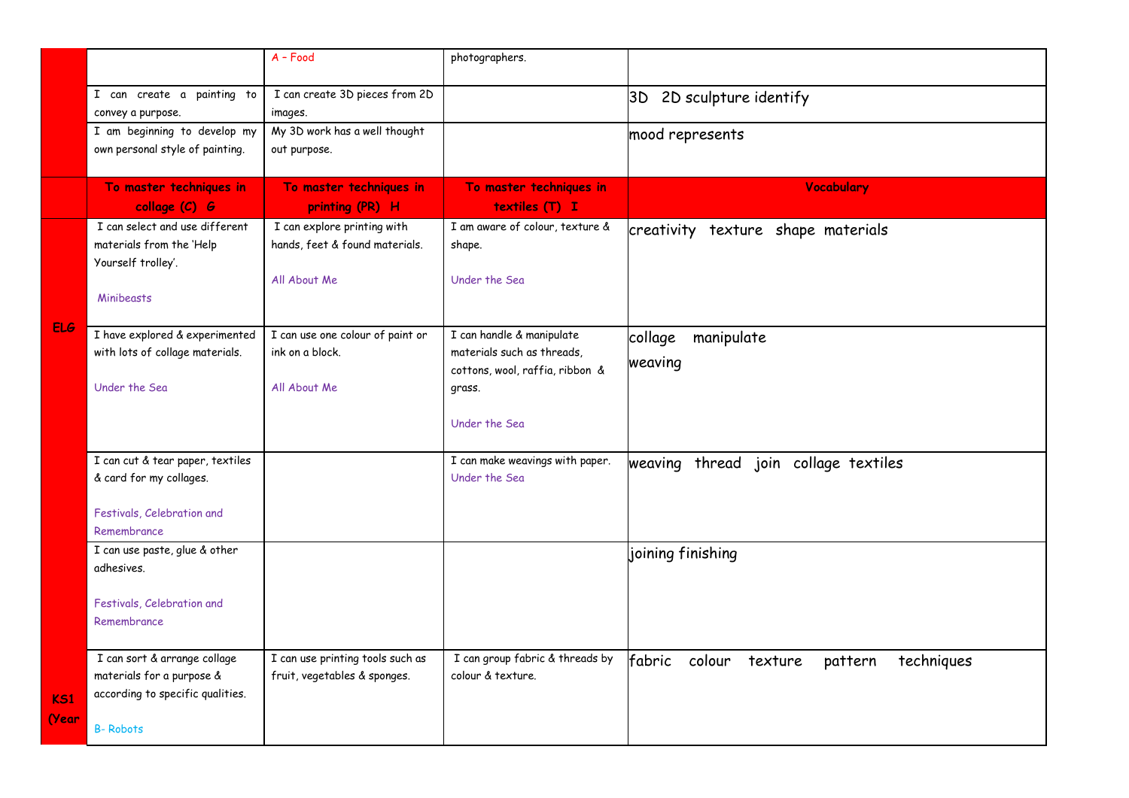|                          |                                                                                                                  | $A - Food$                                                                    | photographers.                                                                                                        |                                                      |
|--------------------------|------------------------------------------------------------------------------------------------------------------|-------------------------------------------------------------------------------|-----------------------------------------------------------------------------------------------------------------------|------------------------------------------------------|
|                          | I can create a painting to<br>convey a purpose.                                                                  | I can create 3D pieces from 2D<br>images.                                     |                                                                                                                       | 3D 2D sculpture identify                             |
|                          | I am beginning to develop my<br>own personal style of painting.                                                  | My 3D work has a well thought<br>out purpose.                                 |                                                                                                                       | mood represents                                      |
|                          | To master techniques in<br>collage (C) G                                                                         | To master techniques in<br>printing (PR) H                                    | To master techniques in<br>textiles (T) I                                                                             | <b>Vocabulary</b>                                    |
|                          | I can select and use different<br>materials from the 'Help<br>Yourself trolley'.<br>Minibeasts                   | I can explore printing with<br>hands, feet & found materials.<br>All About Me | I am aware of colour, texture &<br>shape.<br>Under the Sea                                                            | creativity texture shape materials                   |
| <b>ELG</b>               | I have explored & experimented<br>with lots of collage materials.<br>Under the Sea                               | I can use one colour of paint or<br>ink on a block.<br>All About Me           | I can handle & manipulate<br>materials such as threads,<br>cottons, wool, raffia, ribbon &<br>grass.<br>Under the Sea | collage<br>manipulate<br>weaving                     |
|                          | I can cut & tear paper, textiles<br>& card for my collages.<br>Festivals, Celebration and<br>Remembrance         |                                                                               | I can make weavings with paper.<br>Under the Sea                                                                      | weaving thread join collage textiles                 |
|                          | I can use paste, glue & other<br>adhesives.<br>Festivals, Celebration and<br>Remembrance                         |                                                                               |                                                                                                                       | joining finishing                                    |
| K <sub>S1</sub><br>(Year | I can sort & arrange collage<br>materials for a purpose &<br>according to specific qualities.<br><b>B-Robots</b> | I can use printing tools such as<br>fruit, vegetables & sponges.              | I can group fabric & threads by<br>colour & texture.                                                                  | fabric<br>colour<br>techniques<br>texture<br>pattern |